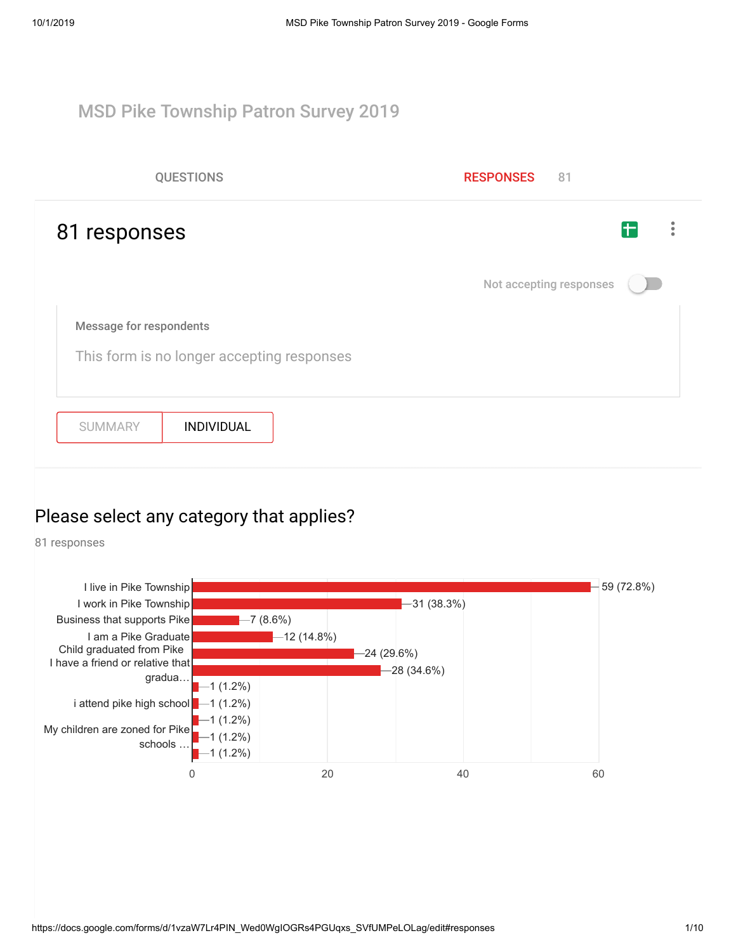#### MSD Pike Township Patron Survey 2019

| <b>QUESTIONS</b>                                                             | <b>RESPONSES</b><br>81  |
|------------------------------------------------------------------------------|-------------------------|
| 81 responses                                                                 | F                       |
|                                                                              | Not accepting responses |
| <b>Message for respondents</b><br>This form is no longer accepting responses |                         |
| <b>INDIVIDUAL</b><br><b>SUMMARY</b>                                          |                         |

#### Please select any category that applies?

81 responses

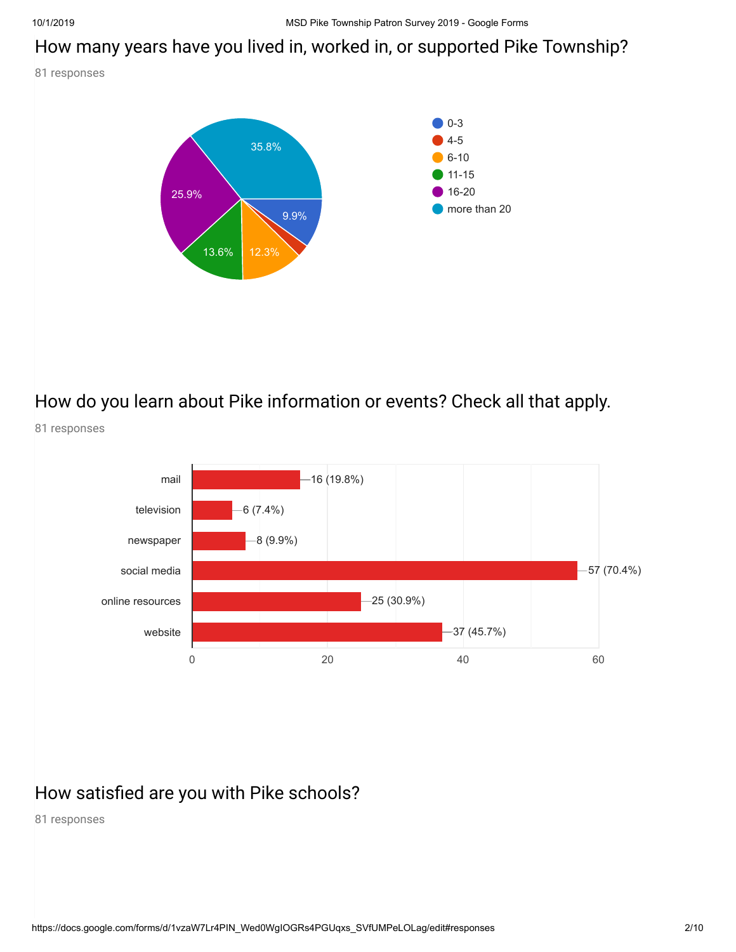#### How many years have you lived in, worked in, or supported Pike Township?

81 responses



## How do you learn about Pike information or events? Check all that apply.



### How satisfied are you with Pike schools?

81 responses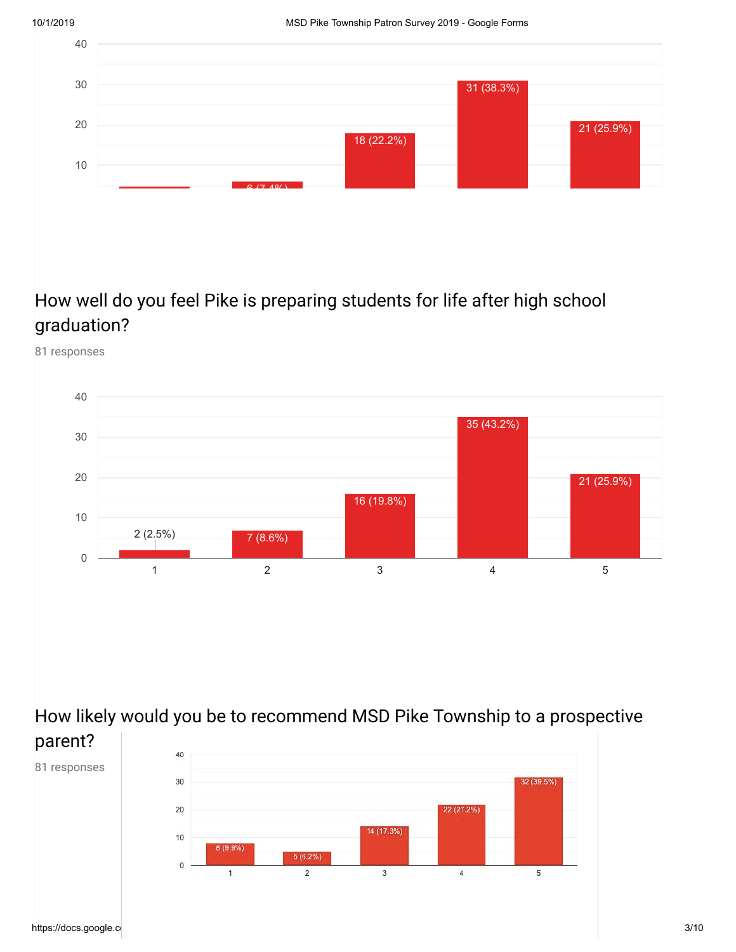

## How well do you feel Pike is preparing students for life after high school graduation?

81 responses



How likely would you be to recommend MSD Pike Township to a prospective parent?